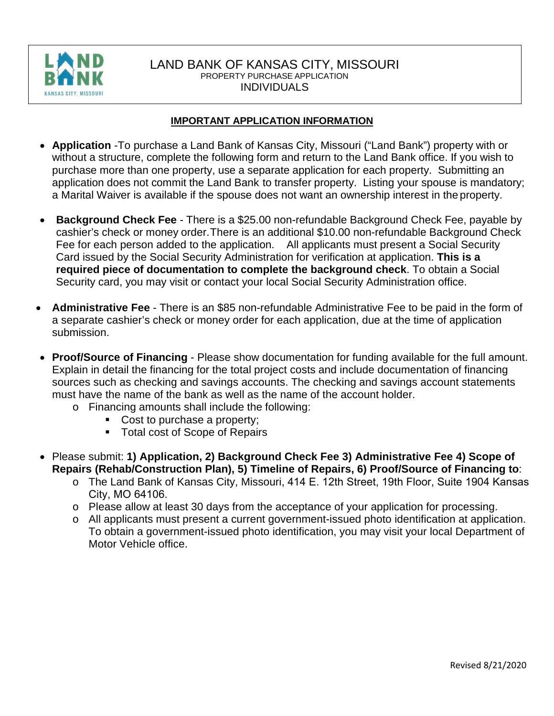

## LAND BANK OF KANSAS CITY, MISSOURI PROPERTY PURCHASE APPLICATION INDIVIDUALS

### **IMPORTANT APPLICATION INFORMATION**

- **Application** -To purchase a Land Bank of Kansas City, Missouri ("Land Bank") property with or without a structure, complete the following form and return to the Land Bank office. If you wish to purchase more than one property, use a separate application for each property. Submitting an application does not commit the Land Bank to transfer property. Listing your spouse is mandatory; a Marital Waiver is available if the spouse does not want an ownership interest in the property.
- **Background Check Fee**  There is a \$25.00 non-refundable Background Check Fee, payable by cashier's check or money order. There is an additional \$10.00 non-refundable Background Check Fee for each person added to the application. All applicants must present a Social Security Card issued by the Social Security Administration for verification at application. **This is a required piece of documentation to complete the background check**. To obtain a Social Security card, you may visit or contact your local Social Security Administration office.
- **Administrative Fee**  There is an \$85 non-refundable Administrative Fee to be paid in the form of a separate cashier's check or money order for each application, due at the time of application submission.
- **Proof/Source of Financing**  Please show documentation for funding available for the full amount. Explain in detail the financing for the total project costs and include documentation of financing sources such as checking and savings accounts. The checking and savings account statements must have the name of the bank as well as the name of the account holder.
	- o Financing amounts shall include the following:
		- Cost to purchase a property;
		- **Total cost of Scope of Repairs**
- Please submit: **1) Application, 2) Background Check Fee 3) Administrative Fee 4) Scope of Repairs (Rehab/Construction Plan), 5) Timeline of Repairs, 6) Proof/Source of Financing to**:
	- o The Land Bank of Kansas City, Missouri, 414 E. 12th Street, 19th Floor, Suite 1904 Kansas City, MO 64106.
	- o Please allow at least 30 days from the acceptance of your application for processing.
	- o All applicants must present a current government-issued photo identification at application. To obtain a government-issued photo identification, you may visit your local Department of Motor Vehicle office.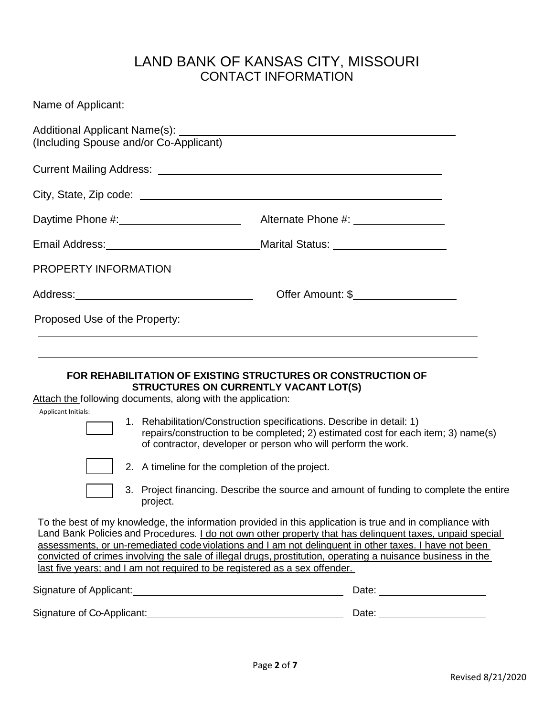# LAND BANK OF KANSAS CITY, MISSOURI CONTACT INFORMATION

| Daytime Phone #: 1.1.1.2010 Alternate Phone #: 2.2.2.2.2.2.2.2.2.2.2.2.2.2.2.2.2.                                                                                                                                                                                                                                                                       |                                                                                                                                                                                                                                                                                                                                                                                                                                                                                                                                                                                                                                                                                                                                                                       |
|---------------------------------------------------------------------------------------------------------------------------------------------------------------------------------------------------------------------------------------------------------------------------------------------------------------------------------------------------------|-----------------------------------------------------------------------------------------------------------------------------------------------------------------------------------------------------------------------------------------------------------------------------------------------------------------------------------------------------------------------------------------------------------------------------------------------------------------------------------------------------------------------------------------------------------------------------------------------------------------------------------------------------------------------------------------------------------------------------------------------------------------------|
| Email Address: Marital Status: Marital Status: Marital Status: Marital Status: Marital Status: Marital Status: Marital Status: Marital Status: Marital Status: Marital Status: Marital Status: Marital Status: Marital Status:                                                                                                                          |                                                                                                                                                                                                                                                                                                                                                                                                                                                                                                                                                                                                                                                                                                                                                                       |
| PROPERTY INFORMATION                                                                                                                                                                                                                                                                                                                                    |                                                                                                                                                                                                                                                                                                                                                                                                                                                                                                                                                                                                                                                                                                                                                                       |
| Address: Andreas Address: Address: Address: Address: Address: Address: Address: Address: Address: Address: Address: Address: Address: Address: Address: Address: Address: Address: Address: Address: Address: Address: Address                                                                                                                          | Offer Amount: \$                                                                                                                                                                                                                                                                                                                                                                                                                                                                                                                                                                                                                                                                                                                                                      |
| Proposed Use of the Property:                                                                                                                                                                                                                                                                                                                           |                                                                                                                                                                                                                                                                                                                                                                                                                                                                                                                                                                                                                                                                                                                                                                       |
| <b>FOR REHABILITATION OF EXISTING STRUCTURES OR CONSTRUCTION OF</b><br><b>STRUCTURES ON CURRENTLY VACANT LOT(S)</b><br>Attach the following documents, along with the application:<br>Applicant Initials:<br>2. A timeline for the completion of the project.<br>project.<br>last five years; and I am not required to be registered as a sex offender. | 1. Rehabilitation/Construction specifications. Describe in detail: 1)<br>repairs/construction to be completed; 2) estimated cost for each item; 3) name(s)<br>of contractor, developer or person who will perform the work.<br>3. Project financing. Describe the source and amount of funding to complete the entire<br>To the best of my knowledge, the information provided in this application is true and in compliance with<br>Land Bank Policies and Procedures. I do not own other property that has delinguent taxes, unpaid special<br>assessments, or un-remediated code violations and I am not delinquent in other taxes. I have not been<br>convicted of crimes involving the sale of illegal drugs, prostitution, operating a nuisance business in the |
| Signature of Applicant: <u>contained and allegen and allegen and allegen and allegen and allegen and allegen and a</u>                                                                                                                                                                                                                                  |                                                                                                                                                                                                                                                                                                                                                                                                                                                                                                                                                                                                                                                                                                                                                                       |
|                                                                                                                                                                                                                                                                                                                                                         |                                                                                                                                                                                                                                                                                                                                                                                                                                                                                                                                                                                                                                                                                                                                                                       |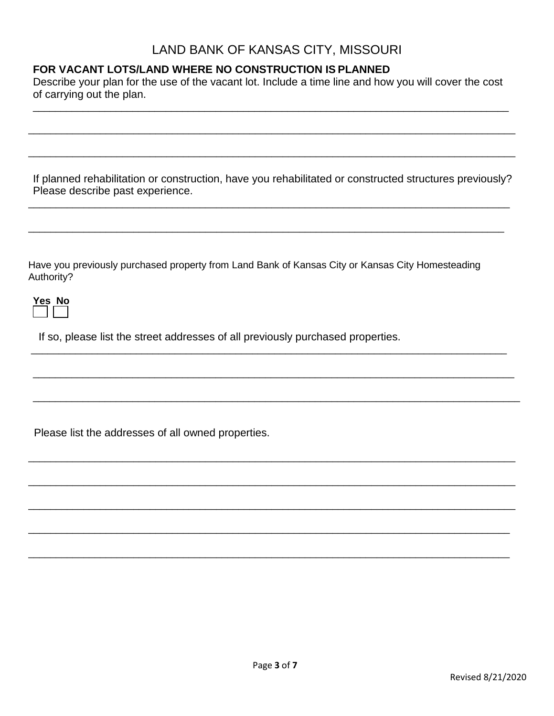## LAND BANK OF KANSAS CITY, MISSOURI

## **FOR VACANT LOTS/LAND WHERE NO CONSTRUCTION IS PLANNED**

Describe your plan for the use of the vacant lot. Include a time line and how you will cover the cost of carrying out the plan.

\_\_\_\_\_\_\_\_\_\_\_\_\_\_\_\_\_\_\_\_\_\_\_\_\_\_\_\_\_\_\_\_\_\_\_\_\_\_\_\_\_\_\_\_\_\_\_\_\_\_\_\_\_\_\_\_\_\_\_\_\_\_\_\_\_\_\_\_\_\_\_\_\_\_\_\_\_\_\_\_\_\_\_\_\_\_

\_\_\_\_\_\_\_\_\_\_\_\_\_\_\_\_\_\_\_\_\_\_\_\_\_\_\_\_\_\_\_\_\_\_\_\_\_\_\_\_\_\_\_\_\_\_\_\_\_\_\_\_\_\_\_\_\_\_\_\_\_\_\_\_\_\_\_\_\_\_\_\_\_\_\_\_\_\_\_\_\_\_\_\_\_\_\_\_

\_\_\_\_\_\_\_\_\_\_\_\_\_\_\_\_\_\_\_\_\_\_\_\_\_\_\_\_\_\_\_\_\_\_\_\_\_\_\_\_\_\_\_\_\_\_\_\_\_\_\_\_\_\_\_\_\_\_\_\_\_\_\_\_\_\_\_\_\_\_\_\_\_\_\_\_\_\_\_\_\_\_\_\_\_\_\_\_

If planned rehabilitation or construction, have you rehabilitated or constructed structures previously? Please describe past experience.

\_\_\_\_\_\_\_\_\_\_\_\_\_\_\_\_\_\_\_\_\_\_\_\_\_\_\_\_\_\_\_\_\_\_\_\_\_\_\_\_\_\_\_\_\_\_\_\_\_\_\_\_\_\_\_\_\_\_\_\_\_\_\_\_\_\_\_\_\_\_\_\_\_\_\_\_\_\_\_\_\_\_\_\_\_\_\_

\_\_\_\_\_\_\_\_\_\_\_\_\_\_\_\_\_\_\_\_\_\_\_\_\_\_\_\_\_\_\_\_\_\_\_\_\_\_\_\_\_\_\_\_\_\_\_\_\_\_\_\_\_\_\_\_\_\_\_\_\_\_\_\_\_\_\_\_\_\_\_\_\_\_\_\_\_\_\_\_\_\_\_\_\_\_

\_\_\_\_\_\_\_\_\_\_\_\_\_\_\_\_\_\_\_\_\_\_\_\_\_\_\_\_\_\_\_\_\_\_\_\_\_\_\_\_\_\_\_\_\_\_\_\_\_\_\_\_\_\_\_\_\_\_\_\_\_\_\_\_\_\_\_\_\_\_\_\_\_\_\_\_\_\_\_\_\_\_\_\_\_\_

\_\_\_\_\_\_\_\_\_\_\_\_\_\_\_\_\_\_\_\_\_\_\_\_\_\_\_\_\_\_\_\_\_\_\_\_\_\_\_\_\_\_\_\_\_\_\_\_\_\_\_\_\_\_\_\_\_\_\_\_\_\_\_\_\_\_\_\_\_\_\_\_\_\_\_\_\_\_\_\_\_\_\_\_\_\_\_

\_\_\_\_\_\_\_\_\_\_\_\_\_\_\_\_\_\_\_\_\_\_\_\_\_\_\_\_\_\_\_\_\_\_\_\_\_\_\_\_\_\_\_\_\_\_\_\_\_\_\_\_\_\_\_\_\_\_\_\_\_\_\_\_\_\_\_\_\_\_\_\_\_\_\_\_\_\_\_\_\_\_\_\_\_\_\_\_

\_\_\_\_\_\_\_\_\_\_\_\_\_\_\_\_\_\_\_\_\_\_\_\_\_\_\_\_\_\_\_\_\_\_\_\_\_\_\_\_\_\_\_\_\_\_\_\_\_\_\_\_\_\_\_\_\_\_\_\_\_\_\_\_\_\_\_\_\_\_\_\_\_\_\_\_\_\_\_\_\_\_\_\_\_\_\_\_

\_\_\_\_\_\_\_\_\_\_\_\_\_\_\_\_\_\_\_\_\_\_\_\_\_\_\_\_\_\_\_\_\_\_\_\_\_\_\_\_\_\_\_\_\_\_\_\_\_\_\_\_\_\_\_\_\_\_\_\_\_\_\_\_\_\_\_\_\_\_\_\_\_\_\_\_\_\_\_\_\_\_\_\_\_\_\_\_

\_\_\_\_\_\_\_\_\_\_\_\_\_\_\_\_\_\_\_\_\_\_\_\_\_\_\_\_\_\_\_\_\_\_\_\_\_\_\_\_\_\_\_\_\_\_\_\_\_\_\_\_\_\_\_\_\_\_\_\_\_\_\_\_\_\_\_\_\_\_\_\_\_\_\_\_\_\_\_\_\_\_\_\_\_\_\_\_

\_\_\_\_\_\_\_\_\_\_\_\_\_\_\_\_\_\_\_\_\_\_\_\_\_\_\_\_\_\_\_\_\_\_\_\_\_\_\_\_\_\_\_\_\_\_\_\_\_\_\_\_\_\_\_\_\_\_\_\_\_\_\_\_\_\_\_\_\_\_\_\_\_\_\_\_\_\_\_\_\_\_\_\_\_\_\_

\_\_\_\_\_\_\_\_\_\_\_\_\_\_\_\_\_\_\_\_\_\_\_\_\_\_\_\_\_\_\_\_\_\_\_\_\_\_\_\_\_\_\_\_\_\_\_\_\_\_\_\_\_\_\_\_\_\_\_\_\_\_\_\_\_\_\_\_\_\_\_\_\_\_\_\_\_\_\_\_\_\_\_\_\_\_\_

Have you previously purchased property from Land Bank of Kansas City or Kansas City Homesteading Authority?

| n<br>u |
|--------|
|        |

If so, please list the street addresses of all previously purchased properties.

Please list the addresses of all owned properties.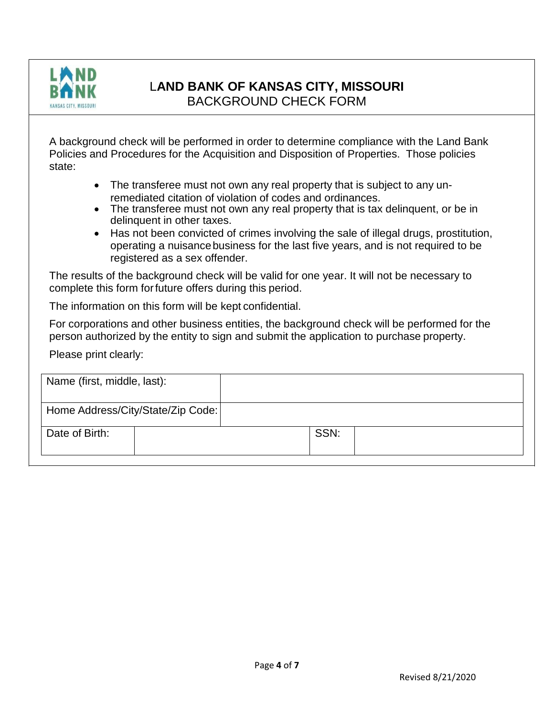

# L**AND BANK OF KANSAS CITY, MISSOURI**

BACKGROUND CHECK FORM

A background check will be performed in order to determine compliance with the Land Bank Policies and Procedures for the Acquisition and Disposition of Properties. Those policies state:

- The transferee must not own any real property that is subject to any unremediated citation of violation of codes and ordinances.
- The transferee must not own any real property that is tax delinguent, or be in delinquent in other taxes.
- Has not been convicted of crimes involving the sale of illegal drugs, prostitution, operating a nuisancebusiness for the last five years, and is not required to be registered as a sex offender.

The results of the background check will be valid for one year. It will not be necessary to complete this form forfuture offers during this period.

The information on this form will be kept confidential.

For corporations and other business entities, the background check will be performed for the person authorized by the entity to sign and submit the application to purchase property.

Please print clearly:

| Name (first, middle, last):       |      |  |
|-----------------------------------|------|--|
| Home Address/City/State/Zip Code: |      |  |
| Date of Birth:                    | SSN: |  |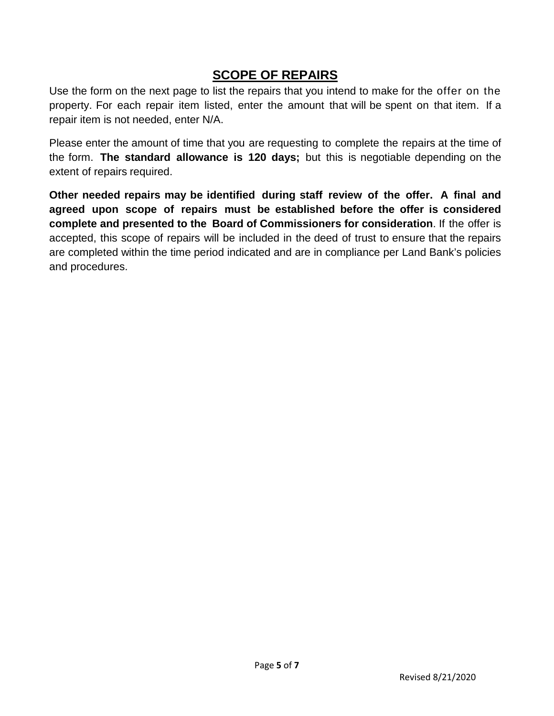# **SCOPE OF REPAIRS**

Use the form on the next page to list the repairs that you intend to make for the offer on the property. For each repair item listed, enter the amount that will be spent on that item. If a repair item is not needed, enter N/A.

Please enter the amount of time that you are requesting to complete the repairs at the time of the form. **The standard allowance is 120 days;** but this is negotiable depending on the extent of repairs required.

**Other needed repairs may be identified during staff review of the offer. A final and agreed upon scope of repairs must be established before the offer is considered complete and presented to the Board of Commissioners for consideration**. If the offer is accepted, this scope of repairs will be included in the deed of trust to ensure that the repairs are completed within the time period indicated and are in compliance per Land Bank's policies and procedures.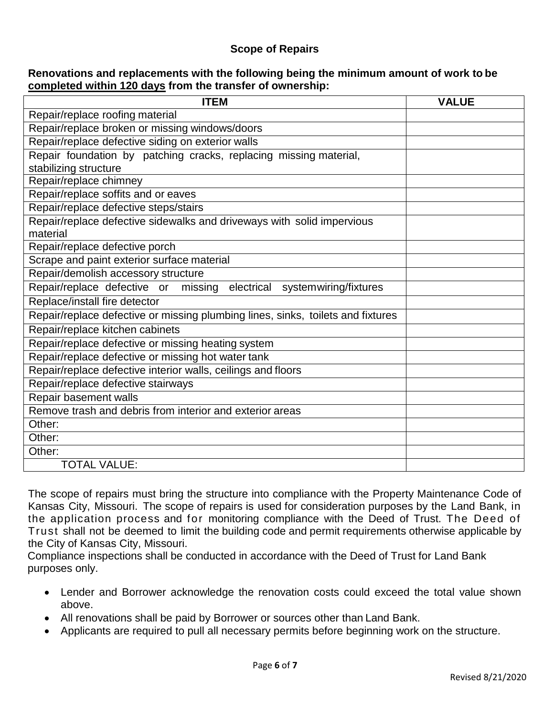## **Scope of Repairs**

### **Renovations and replacements with the following being the minimum amount of work to be completed within 120 days from the transfer of ownership:**

| <b>ITEM</b>                                                                     | <b>VALUE</b> |
|---------------------------------------------------------------------------------|--------------|
| Repair/replace roofing material                                                 |              |
| Repair/replace broken or missing windows/doors                                  |              |
| Repair/replace defective siding on exterior walls                               |              |
| Repair foundation by patching cracks, replacing missing material,               |              |
| stabilizing structure                                                           |              |
| Repair/replace chimney                                                          |              |
| Repair/replace soffits and or eaves                                             |              |
| Repair/replace defective steps/stairs                                           |              |
| Repair/replace defective sidewalks and driveways with solid impervious          |              |
| material                                                                        |              |
| Repair/replace defective porch                                                  |              |
| Scrape and paint exterior surface material                                      |              |
| Repair/demolish accessory structure                                             |              |
| Repair/replace defective or missing electrical systemwiring/fixtures            |              |
| Replace/install fire detector                                                   |              |
| Repair/replace defective or missing plumbing lines, sinks, toilets and fixtures |              |
| Repair/replace kitchen cabinets                                                 |              |
| Repair/replace defective or missing heating system                              |              |
| Repair/replace defective or missing hot water tank                              |              |
| Repair/replace defective interior walls, ceilings and floors                    |              |
| Repair/replace defective stairways                                              |              |
| Repair basement walls                                                           |              |
| Remove trash and debris from interior and exterior areas                        |              |
| Other:                                                                          |              |
| Other:                                                                          |              |
| Other:                                                                          |              |
| <b>TOTAL VALUE:</b>                                                             |              |

The scope of repairs must bring the structure into compliance with the Property Maintenance Code of Kansas City, Missouri. The scope of repairs is used for consideration purposes by the Land Bank, in the application process and for monitoring compliance with the Deed of Trust. The Deed of Trust shall not be deemed to limit the building code and permit requirements otherwise applicable by the City of Kansas City, Missouri.

Compliance inspections shall be conducted in accordance with the Deed of Trust for Land Bank purposes only.

- Lender and Borrower acknowledge the renovation costs could exceed the total value shown above.
- All renovations shall be paid by Borrower or sources other than Land Bank.
- Applicants are required to pull all necessary permits before beginning work on the structure.